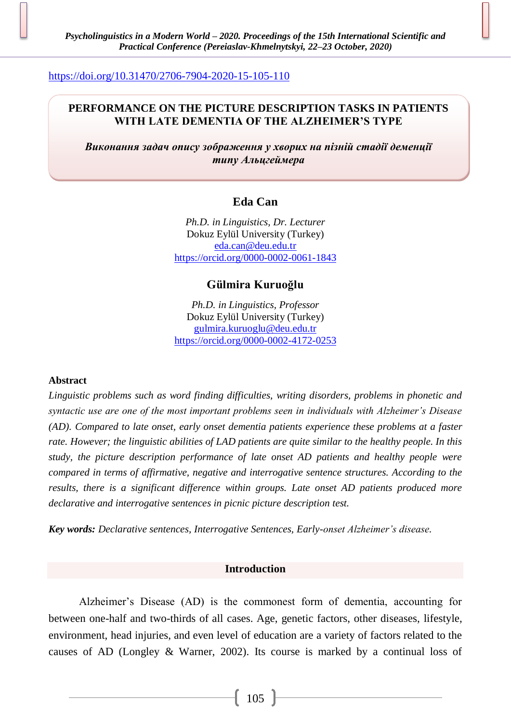## <https://doi.org/10.31470/2706-7904-2020-15-105-110>

## **PERFORMANCE ON THE PICTURE DESCRIPTION TASKS IN PATIENTS WITH LATE DEMENTIA OF THE ALZHEIMER'S TYPE**

*Виконання задач опису зображення у хворих на пізній стадії деменції типу Альцгеймера*

# **Eda Can**

*Ph.D. in Linguistics, Dr. Lecturer* Dokuz Eylül University (Turkey) [eda.can@deu.edu.tr](mailto:eda.can@deu.edu.tr) <https://orcid.org/0000-0002-0061-1843>

## **Gülmira Kuruoğlu**

*Ph.D. in Linguistics, Professor* Dokuz Eylül University (Turkey) [gulmira.kuruoglu@deu.edu.tr](mailto:gulmira.kuruoglu@deu.edu.tr) <https://orcid.org/0000-0002-4172-0253>

#### **Abstract**

*Linguistic problems such as word finding difficulties, writing disorders, problems in phonetic and syntactic use are one of the most important problems seen in individuals with Alzheimer's Disease (AD). Compared to late onset, early onset dementia patients experience these problems at a faster rate. However; the linguistic abilities of LAD patients are quite similar to the healthy people. In this study, the picture description performance of late onset AD patients and healthy people were compared in terms of affirmative, negative and interrogative sentence structures. According to the results, there is a significant difference within groups. Late onset AD patients produced more declarative and interrogative sentences in picnic picture description test.* 

*Key words: Declarative sentences, Interrogative Sentences, Early-onset Alzheimer's disease.*

#### **Introduction**

Alzheimer's Disease (AD) is the commonest form of dementia, accounting for between one-half and two-thirds of all cases. Age, genetic factors, other diseases, lifestyle, environment, head injuries, and even level of education are a variety of factors related to the causes of AD (Longley & Warner, 2002). Its course is marked by a continual loss of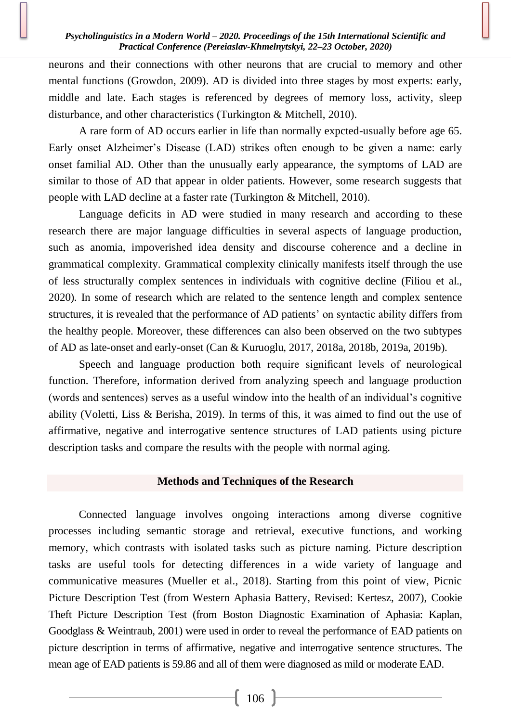neurons and their connections with other neurons that are crucial to memory and other mental functions (Growdon, 2009). AD is divided into three stages by most experts: early, middle and late. Each stages is referenced by degrees of memory loss, activity, sleep disturbance, and other characteristics (Turkington & Mitchell, 2010).

A rare form of AD occurs earlier in life than normally expcted-usually before age 65. Early onset Alzheimer's Disease (LAD) strikes often enough to be given a name: early onset familial AD. Other than the unusually early appearance, the symptoms of LAD are similar to those of AD that appear in older patients. However, some research suggests that people with LAD decline at a faster rate (Turkington & Mitchell, 2010).

Language deficits in AD were studied in many research and according to these research there are major language difficulties in several aspects of language production, such as anomia, impoverished idea density and discourse coherence and a decline in grammatical complexity. Grammatical complexity clinically manifests itself through the use of less structurally complex sentences in individuals with cognitive decline (Filiou et al., 2020). In some of research which are related to the sentence length and complex sentence structures, it is revealed that the performance of AD patients' on syntactic ability differs from the healthy people. Moreover, these differences can also been observed on the two subtypes of AD as late-onset and early-onset (Can & Kuruoglu, 2017, 2018a, 2018b, 2019a, 2019b).

Speech and language production both require significant levels of neurological function. Therefore, information derived from analyzing speech and language production (words and sentences) serves as a useful window into the health of an individual's cognitive ability (Voletti, Liss & Berisha, 2019). In terms of this, it was aimed to find out the use of affirmative, negative and interrogative sentence structures of LAD patients using picture description tasks and compare the results with the people with normal aging.

#### **Methods and Techniques of the Research**

Connected language involves ongoing interactions among diverse cognitive processes including semantic storage and retrieval, executive functions, and working memory, which contrasts with isolated tasks such as picture naming. Picture description tasks are useful tools for detecting differences in a wide variety of language and communicative measures (Mueller et al., 2018). Starting from this point of view, Picnic Picture Description Test (from Western Aphasia Battery, Revised: Kertesz, 2007), Cookie Theft Picture Description Test (from Boston Diagnostic Examination of Aphasia: Kaplan, Goodglass & Weintraub, 2001) were used in order to reveal the performance of EAD patients on picture description in terms of affirmative, negative and interrogative sentence structures. The mean age of EAD patients is 59.86 and all of them were diagnosed as mild or moderate EAD.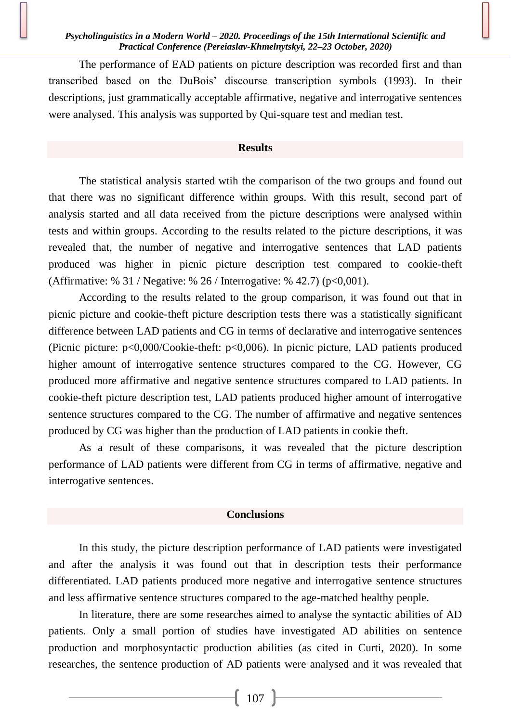The performance of EAD patients on picture description was recorded first and than transcribed based on the DuBois' discourse transcription symbols (1993). In their descriptions, just grammatically acceptable affirmative, negative and interrogative sentences were analysed. This analysis was supported by Qui-square test and median test.

### **Results**

The statistical analysis started wtih the comparison of the two groups and found out that there was no significant difference within groups. With this result, second part of analysis started and all data received from the picture descriptions were analysed within tests and within groups. According to the results related to the picture descriptions, it was revealed that, the number of negative and interrogative sentences that LAD patients produced was higher in picnic picture description test compared to cookie-theft (Affirmative: % 31 / Negative: % 26 / Interrogative: % 42.7) (p<0,001).

According to the results related to the group comparison, it was found out that in picnic picture and cookie-theft picture description tests there was a statistically significant difference between LAD patients and CG in terms of declarative and interrogative sentences (Picnic picture: p<0,000/Cookie-theft: p<0,006). In picnic picture, LAD patients produced higher amount of interrogative sentence structures compared to the CG. However, CG produced more affirmative and negative sentence structures compared to LAD patients. In cookie-theft picture description test, LAD patients produced higher amount of interrogative sentence structures compared to the CG. The number of affirmative and negative sentences produced by CG was higher than the production of LAD patients in cookie theft.

As a result of these comparisons, it was revealed that the picture description performance of LAD patients were different from CG in terms of affirmative, negative and interrogative sentences.

#### **Conclusions**

In this study, the picture description performance of LAD patients were investigated and after the analysis it was found out that in description tests their performance differentiated. LAD patients produced more negative and interrogative sentence structures and less affirmative sentence structures compared to the age-matched healthy people.

In literature, there are some researches aimed to analyse the syntactic abilities of AD patients. Only a small portion of studies have investigated AD abilities on sentence production and morphosyntactic production abilities (as cited in Curti, 2020). In some researches, the sentence production of AD patients were analysed and it was revealed that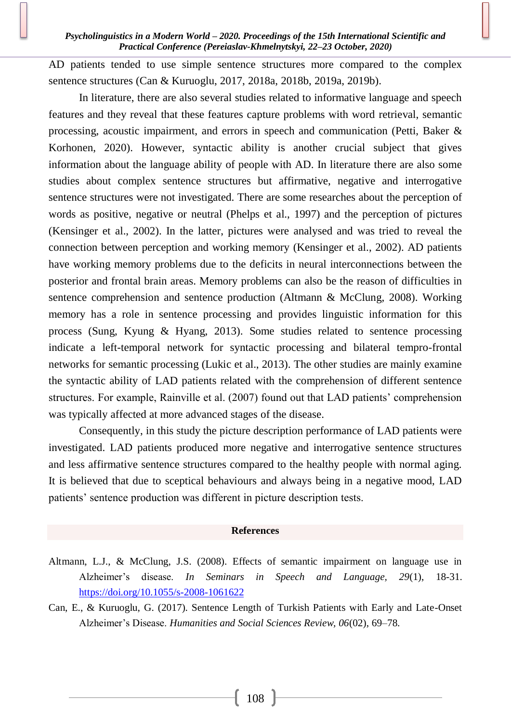AD patients tended to use simple sentence structures more compared to the complex sentence structures (Can & Kuruoglu, 2017, 2018a, 2018b, 2019a, 2019b).

In literature, there are also several studies related to informative language and speech features and they reveal that these features capture problems with word retrieval, semantic processing, acoustic impairment, and errors in speech and communication (Petti, Baker & Korhonen, 2020). However, syntactic ability is another crucial subject that gives information about the language ability of people with AD. In literature there are also some studies about complex sentence structures but affirmative, negative and interrogative sentence structures were not investigated. There are some researches about the perception of words as positive, negative or neutral (Phelps et al., 1997) and the perception of pictures (Kensinger et al., 2002). In the latter, pictures were analysed and was tried to reveal the connection between perception and working memory (Kensinger et al., 2002). AD patients have working memory problems due to the deficits in neural interconnections between the posterior and frontal brain areas. Memory problems can also be the reason of difficulties in sentence comprehension and sentence production (Altmann & McClung, 2008). Working memory has a role in sentence processing and provides linguistic information for this process (Sung, Kyung & Hyang, 2013). Some studies related to sentence processing indicate a left-temporal network for syntactic processing and bilateral tempro-frontal networks for semantic processing (Lukic et al., 2013). The other studies are mainly examine the syntactic ability of LAD patients related with the comprehension of different sentence structures. For example, Rainville et al. (2007) found out that LAD patients' comprehension was typically affected at more advanced stages of the disease.

Consequently, in this study the picture description performance of LAD patients were investigated. LAD patients produced more negative and interrogative sentence structures and less affirmative sentence structures compared to the healthy people with normal aging. It is believed that due to sceptical behaviours and always being in a negative mood, LAD patients' sentence production was different in picture description tests.

#### **References**

- Altmann, L.J., & McClung, J.S. (2008). Effects of semantic impairment on language use in Alzheimer's disease. *In Seminars in Speech and Language, 29*(1), 18-31. <https://doi.org/10.1055/s-2008-1061622>
- Can, E., & Kuruoglu, G. (2017). Sentence Length of Turkish Patients with Early and Late-Onset Alzheimer's Disease. *Humanities and Social Sciences Review, 06*(02), 69–78.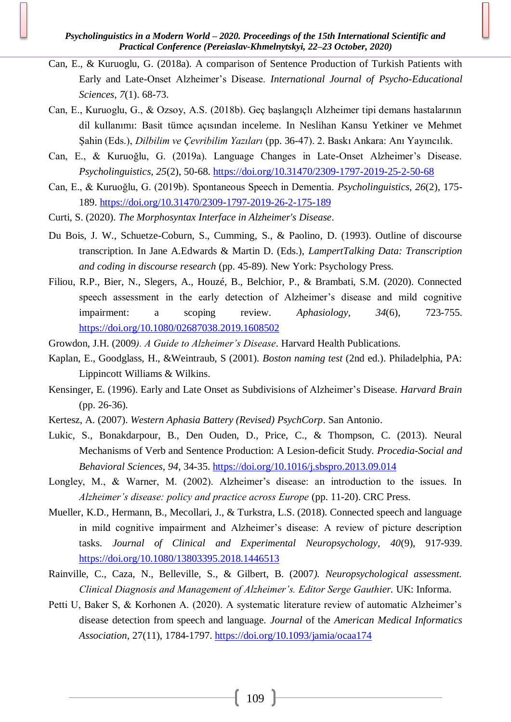- Can, E., & Kuruoglu, G. (2018a). A comparison of Sentence Production of Turkish Patients with Early and Late-Onset Alzheimer's Disease. *International Journal of Psycho-Educational Sciences, 7*(1). 68-73.
- Can, E., Kuruoglu, G., & Ozsoy, A.S. (2018b). Geç başlangıçlı Alzheimer tipi demans hastalarının dil kullanımı: Basit tümce açısından inceleme. In Neslihan Kansu Yetkiner ve Mehmet Şahin (Eds.), *Dilbilim ve Çevribilim Yazıları* (pp. 36-47). 2. Baskı Ankara: Anı Yayıncılık.
- Can, E., & Kuruoğlu, G. (2019a). Language Changes in Late-Onset Alzheimer's Disease. *Psycholinguistics, 25*(2), 50-68.<https://doi.org/10.31470/2309-1797-2019-25-2-50-68>
- Can, E., & Kuruoğlu, G. (2019b). Spontaneous Speech in Dementia. *Psycholinguistics, 26*(2), 175- 189.<https://doi.org/10.31470/2309-1797-2019-26-2-175-189>
- Curti, S. (2020). *The Morphosyntax Interface in Alzheimer's Disease*.
- Du Bois, J. W., Schuetze-Coburn, S., Cumming, S., & Paolino, D. (1993). Outline of discourse transcription. In Jane A.Edwards & Martin D. (Eds.), *LampertTalking Data: Transcription and coding in discourse research* (pp. 45-89). New York: Psychology Press.
- Filiou, R.P., Bier, N., Slegers, A., Houzé, B., Belchior, P., & Brambati, S.M. (2020). Connected speech assessment in the early detection of Alzheimer's disease and mild cognitive impairment: a scoping review. *Aphasiology, 34*(6), 723-755. <https://doi.org/10.1080/02687038.2019.1608502>
- Growdon, J.H. (2009*). A Guide to Alzheimer's Disease*. Harvard Health Publications.
- Kaplan, E., Goodglass, H., &Weintraub, S (2001). *Boston naming test* (2nd ed.). Philadelphia, PA: Lippincott Williams & Wilkins.
- Kensinger, E. (1996). Early and Late Onset as Subdivisions of Alzheimer's Disease. *Harvard Brain* (pp. 26-36).
- Kertesz, A. (2007). *Western Aphasia Battery (Revised) PsychCorp*. San Antonio.
- Lukic, S., Bonakdarpour, B., Den Ouden, D., Price, C., & Thompson, C. (2013). Neural Mechanisms of Verb and Sentence Production: A Lesion-deficit Study*. Procedia-Social and Behavioral Sciences, 94*, 34-35.<https://doi.org/10.1016/j.sbspro.2013.09.014>
- Longley, M., & Warner, M. (2002). Alzheimer's disease: an introduction to the issues. In *Alzheimer's disease: policy and practice across Europe* (pp. 11-20). CRC Press.
- Mueller, K.D., Hermann, B., Mecollari, J., & Turkstra, L.S. (2018). Connected speech and language in mild cognitive impairment and Alzheimer's disease: A review of picture description tasks. *Journal of Clinical and Experimental Neuropsychology, 40*(9), 917-939. <https://doi.org/10.1080/13803395.2018.1446513>
- Rainville, C., Caza, N., Belleville, S., & Gilbert, B. (2007*). Neuropsychological assessment. Clinical Diagnosis and Management of Alzheimer's. Editor Serge Gauthier.* UK: Informa.
- Petti U, Baker S, & Korhonen A. (2020). A systematic literature review of automatic Alzheimer's disease detection from speech and language. *Journal* of the *American Medical Informatics Association*, 27(11), 1784-1797.<https://doi.org/10.1093/jamia/ocaa174>